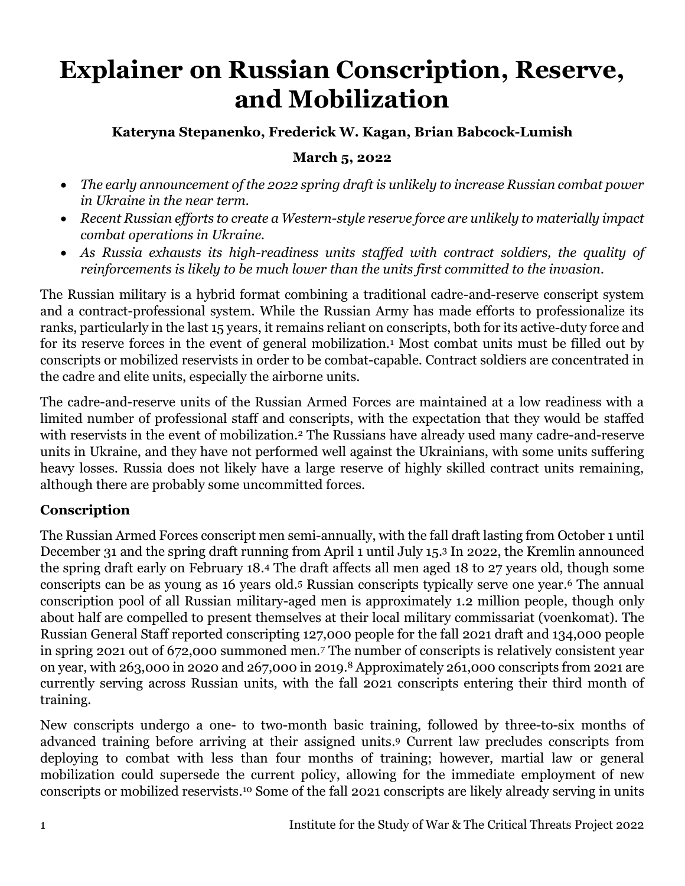# **Explainer on Russian Conscription, Reserve, and Mobilization**

## **Kateryna Stepanenko, Frederick W. Kagan, Brian Babcock-Lumish**

#### **March 5, 2022**

- *The early announcement of the 2022 spring draft is unlikely to increase Russian combat power in Ukraine in the near term.*
- *Recent Russian efforts to create a Western-style reserve force are unlikely to materially impact combat operations in Ukraine.*
- *As Russia exhausts its high-readiness units staffed with contract soldiers, the quality of reinforcements is likely to be much lower than the units first committed to the invasion.*

The Russian military is a hybrid format combining a traditional cadre-and-reserve conscript system and a contract-professional system. While the Russian Army has made efforts to professionalize its ranks, particularly in the last 15 years, it remains reliant on conscripts, both for its active-duty force and for its reserve forces in the event of general mobilization.<sup>1</sup> Most combat units must be filled out by conscripts or mobilized reservists in order to be combat-capable. Contract soldiers are concentrated in the cadre and elite units, especially the airborne units.

The cadre-and-reserve units of the Russian Armed Forces are maintained at a low readiness with a limited number of professional staff and conscripts, with the expectation that they would be staffed with reservists in the event of mobilization.<sup>2</sup> The Russians have already used many cadre-and-reserve units in Ukraine, and they have not performed well against the Ukrainians, with some units suffering heavy losses. Russia does not likely have a large reserve of highly skilled contract units remaining, although there are probably some uncommitted forces.

## **Conscription**

The Russian Armed Forces conscript men semi-annually, with the fall draft lasting from October 1 until December 31 and the spring draft running from April 1 until July 15.<sup>3</sup> In 2022, the Kremlin announced the spring draft early on February 18. <sup>4</sup> The draft affects all men aged 18 to 27 years old, though some conscripts can be as young as 16 years old. <sup>5</sup> Russian conscripts typically serve one year. <sup>6</sup> The annual conscription pool of all Russian military-aged men is approximately 1.2 million people, though only about half are compelled to present themselves at their local military commissariat (voenkomat). The Russian General Staff reported conscripting 127,000 people for the fall 2021 draft and 134,000 people in spring 2021 out of 672,000 summoned men.<sup>7</sup> The number of conscripts is relatively consistent year on year, with 263,000 in 2020 and 267,000 in 2019. <sup>8</sup> Approximately 261,000 conscripts from 2021 are currently serving across Russian units, with the fall 2021 conscripts entering their third month of training.

New conscripts undergo a one- to two-month basic training, followed by three-to-six months of advanced training before arriving at their assigned units. <sup>9</sup> Current law precludes conscripts from deploying to combat with less than four months of training; however, martial law or general mobilization could supersede the current policy, allowing for the immediate employment of new conscripts or mobilized reservists. <sup>10</sup> Some of the fall 2021 conscripts are likely already serving in units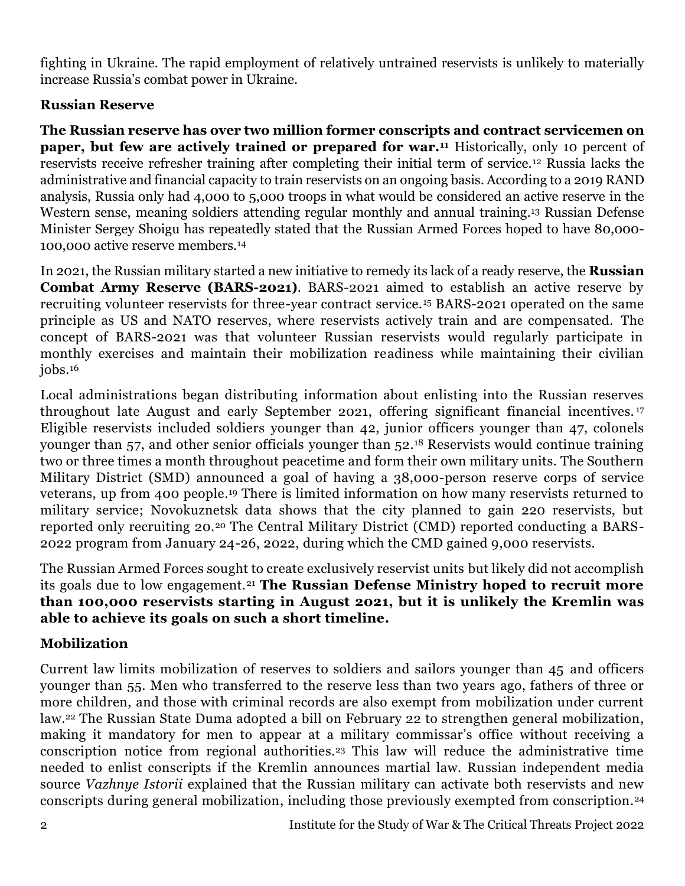fighting in Ukraine. The rapid employment of relatively untrained reservists is unlikely to materially increase Russia's combat power in Ukraine.

## **Russian Reserve**

**The Russian reserve has over two million former conscripts and contract servicemen on paper, but few are actively trained or prepared for war.<sup>11</sup>** Historically, only 10 percent of reservists receive refresher training after completing their initial term of service.<sup>12</sup> Russia lacks the administrative and financial capacity to train reservists on an ongoing basis. According to a 2019 RAND analysis, Russia only had 4,000 to 5,000 troops in what would be considered an active reserve in the Western sense, meaning soldiers attending regular monthly and annual training. <sup>13</sup> Russian Defense Minister Sergey Shoigu has repeatedly stated that the Russian Armed Forces hoped to have 80,000- 100,000 active reserve members.<sup>14</sup>

In 2021, the Russian military started a new initiative to remedy its lack of a ready reserve, the **Russian Combat Army Reserve (BARS-2021)**. BARS-2021 aimed to establish an active reserve by recruiting volunteer reservists for three-year contract service.<sup>15</sup> BARS-2021 operated on the same principle as US and NATO reserves, where reservists actively train and are compensated. The concept of BARS-2021 was that volunteer Russian reservists would regularly participate in monthly exercises and maintain their mobilization readiness while maintaining their civilian jobs.<sup>16</sup>

Local administrations began distributing information about enlisting into the Russian reserves throughout late August and early September 2021, offering significant financial incentives. <sup>17</sup> Eligible reservists included soldiers younger than 42, junior officers younger than 47, colonels younger than 57, and other senior officials younger than 52. <sup>18</sup> Reservists would continue training two or three times a month throughout peacetime and form their own military units. The Southern Military District (SMD) announced a goal of having a 38,000-person reserve corps of service veterans, up from 400 people. <sup>19</sup> There is limited information on how many reservists returned to military service; Novokuznetsk data shows that the city planned to gain 220 reservists, but reported only recruiting 20.<sup>20</sup> The Central Military District (CMD) reported conducting a BARS-2022 program from January 24-26, 2022, during which the CMD gained 9,000 reservists.

The Russian Armed Forces sought to create exclusively reservist units but likely did not accomplish its goals due to low engagement.<sup>21</sup> **The Russian Defense Ministry hoped to recruit more than 100,000 reservists starting in August 2021, but it is unlikely the Kremlin was able to achieve its goals on such a short timeline.**

# **Mobilization**

Current law limits mobilization of reserves to soldiers and sailors younger than 45 and officers younger than 55. Men who transferred to the reserve less than two years ago, fathers of three or more children, and those with criminal records are also exempt from mobilization under current law. <sup>22</sup> The Russian State Duma adopted a bill on February 22 to strengthen general mobilization, making it mandatory for men to appear at a military commissar's office without receiving a conscription notice from regional authorities. <sup>23</sup> This law will reduce the administrative time needed to enlist conscripts if the Kremlin announces martial law. Russian independent media source *Vazhnye Istorii* explained that the Russian military can activate both reservists and new conscripts during general mobilization, including those previously exempted from conscription. 24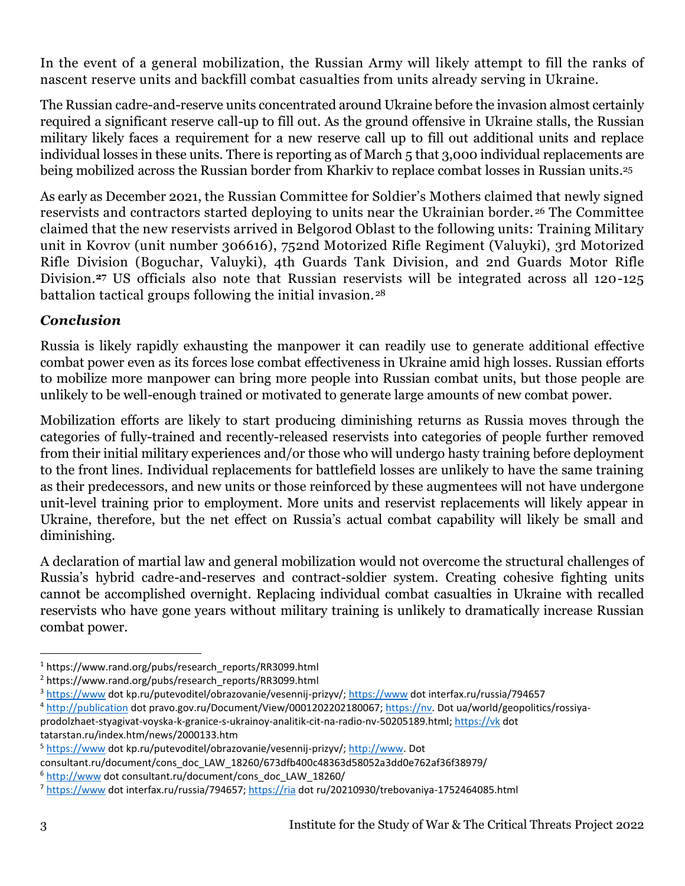In the event of a general mobilization, the Russian Army will likely attempt to fill the ranks of nascent reserve units and backfill combat casualties from units already serving in Ukraine.

The Russian cadre-and-reserve units concentrated around Ukraine before the invasion almost certainly required a significant reserve call-up to fill out. As the ground offensive in Ukraine stalls, the Russian military likely faces a requirement for a new reserve call up to fill out additional units and replace individual losses in these units. There is reporting as of March 5 that 3,000 individual replacements are being mobilized across the Russian border from Kharkiv to replace combat losses in Russian units. 25

As early as December 2021, the Russian Committee for Soldier's Mothers claimed that newly signed reservists and contractors started deploying to units near the Ukrainian border. <sup>26</sup> The Committee claimed that the new reservists arrived in Belgorod Oblast to the following units: Training Military unit in Kovrov (unit number 306616), 752nd Motorized Rifle Regiment (Valuyki), 3rd Motorized Rifle Division (Boguchar, Valuyki), 4th Guards Tank Division, and 2nd Guards Motor Rifle Division*.* **<sup>27</sup>** US officials also note that Russian reservists will be integrated across all 120-125 battalion tactical groups following the initial invasion.<sup>28</sup>

# *Conclusion*

Russia is likely rapidly exhausting the manpower it can readily use to generate additional effective combat power even as its forces lose combat effectiveness in Ukraine amid high losses. Russian efforts to mobilize more manpower can bring more people into Russian combat units, but those people are unlikely to be well-enough trained or motivated to generate large amounts of new combat power.

Mobilization efforts are likely to start producing diminishing returns as Russia moves through the categories of fully-trained and recently-released reservists into categories of people further removed from their initial military experiences and/or those who will undergo hasty training before deployment to the front lines. Individual replacements for battlefield losses are unlikely to have the same training as their predecessors, and new units or those reinforced by these augmentees will not have undergone unit-level training prior to employment. More units and reservist replacements will likely appear in Ukraine, therefore, but the net effect on Russia's actual combat capability will likely be small and diminishing.

A declaration of martial law and general mobilization would not overcome the structural challenges of Russia's hybrid cadre-and-reserves and contract-soldier system. Creating cohesive fighting units cannot be accomplished overnight. Replacing individual combat casualties in Ukraine with recalled reservists who have gone years without military training is unlikely to dramatically increase Russian combat power.

<sup>4</sup> [http://publication](http://publication/) dot pravo.gov.ru/Document/View/0001202202180067; [https://nv.](https://nv/) Dot ua/world/geopolitics/rossiyaprodolzhaet-styagivat-voyska-k-granice-s-ukrainoy-analitik-cit-na-radio-nv-50205189.html[; https://vk](https://vk/) dot tatarstan.ru/index.htm/news/2000133.htm

<sup>&</sup>lt;sup>1</sup> https://www.rand.org/pubs/research\_reports/RR3099.html

<sup>&</sup>lt;sup>2</sup> https://www.rand.org/pubs/research\_reports/RR3099.html

<sup>3</sup> [https://www](https://www/) dot kp.ru/putevoditel/obrazovanie/vesennij-prizyv/[; https://www](https://www/) dot interfax.ru/russia/794657

<sup>5</sup> [https://www](https://www/) dot kp.ru/putevoditel/obrazovanie/vesennij-prizyv/[; http://www.](http://www/) Dot

consultant.ru/document/cons\_doc\_LAW\_18260/673dfb400c48363d58052a3dd0e762af36f38979/

<sup>6</sup> [http://www](http://www/) dot consultant.ru/document/cons\_doc\_LAW\_18260/

<sup>7</sup> [https://www](https://www/) dot interfax.ru/russia/794657[; https://ria](https://ria/) dot ru/20210930/trebovaniya-1752464085.html